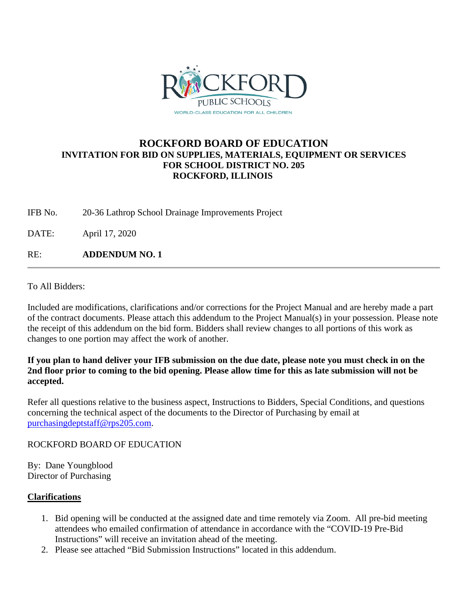

## **ROCKFORD BOARD OF EDUCATION INVITATION FOR BID ON SUPPLIES, MATERIALS, EQUIPMENT OR SERVICES FOR SCHOOL DISTRICT NO. 205 ROCKFORD, ILLINOIS**

IFB No. 20-36 Lathrop School Drainage Improvements Project

DATE: April 17, 2020

RE: **ADDENDUM NO. 1**

To All Bidders:

Included are modifications, clarifications and/or corrections for the Project Manual and are hereby made a part of the contract documents. Please attach this addendum to the Project Manual(s) in your possession. Please note the receipt of this addendum on the bid form. Bidders shall review changes to all portions of this work as changes to one portion may affect the work of another.

## **If you plan to hand deliver your IFB submission on the due date, please note you must check in on the 2nd floor prior to coming to the bid opening. Please allow time for this as late submission will not be accepted.**

Refer all questions relative to the business aspect, Instructions to Bidders, Special Conditions, and questions concerning the technical aspect of the documents to the Director of Purchasing by email at [purchasingdeptstaff@rps205.com.](mailto:purchasingdeptstaff@rps205.com)

### ROCKFORD BOARD OF EDUCATION

By: Dane Youngblood Director of Purchasing

### **Clarifications**

- 1. Bid opening will be conducted at the assigned date and time remotely via Zoom. All pre-bid meeting attendees who emailed confirmation of attendance in accordance with the "COVID-19 Pre-Bid Instructions" will receive an invitation ahead of the meeting.
- 2. Please see attached "Bid Submission Instructions" located in this addendum.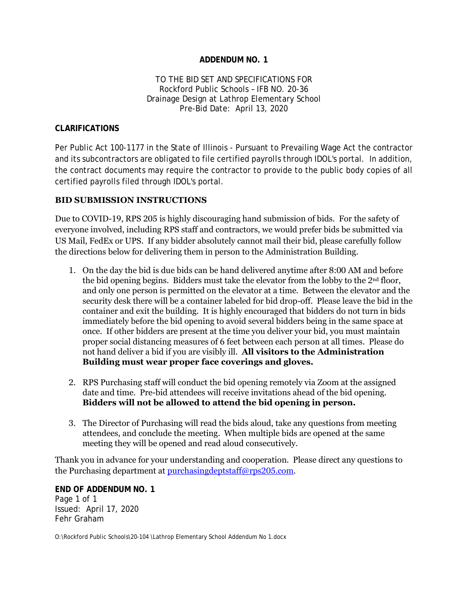#### **ADDENDUM NO. 1**

#### TO THE BID SET AND SPECIFICATIONS FOR Rockford Public Schools – IFB NO. 20-36 Drainage Design at Lathrop Elementary School Pre-Bid Date: April 13, 2020

#### **CLARIFICATIONS**

Per Public Act 100-1177 in the State of Illinois - Pursuant to Prevailing Wage Act the contractor and its subcontractors are obligated to file certified payrolls through IDOL's portal. In addition, the contract documents may require the contractor to provide to the public body copies of all certified payrolls filed through IDOL's portal.

#### **BID SUBMISSION INSTRUCTIONS**

Due to COVID-19, RPS 205 is highly discouraging hand submission of bids. For the safety of everyone involved, including RPS staff and contractors, we would prefer bids be submitted via US Mail, FedEx or UPS. If any bidder absolutely cannot mail their bid, please carefully follow the directions below for delivering them in person to the Administration Building.

- 1. On the day the bid is due bids can be hand delivered anytime after 8:00 AM and before the bid opening begins. Bidders must take the elevator from the lobby to the 2nd floor, and only one person is permitted on the elevator at a time. Between the elevator and the security desk there will be a container labeled for bid drop-off. Please leave the bid in the container and exit the building. It is highly encouraged that bidders do not turn in bids immediately before the bid opening to avoid several bidders being in the same space at once. If other bidders are present at the time you deliver your bid, you must maintain proper social distancing measures of 6 feet between each person at all times. Please do not hand deliver a bid if you are visibly ill. **All visitors to the Administration Building must wear proper face coverings and gloves.**
- 2. RPS Purchasing staff will conduct the bid opening remotely via Zoom at the assigned date and time. Pre-bid attendees will receive invitations ahead of the bid opening. **Bidders will not be allowed to attend the bid opening in person.**
- 3. The Director of Purchasing will read the bids aloud, take any questions from meeting attendees, and conclude the meeting. When multiple bids are opened at the same meeting they will be opened and read aloud consecutively.

Thank you in advance for your understanding and cooperation. Please direct any questions to the Purchasing department at [purchasingdeptstaff@rps205.com.](mailto:purchasingdeptstaff@rps205.com)

**END OF ADDENDUM NO. 1** Page 1 of 1 Issued: April 17, 2020 Fehr Graham

O:\Rockford Public Schools\20-104 \Lathrop Elementary School Addendum No 1.docx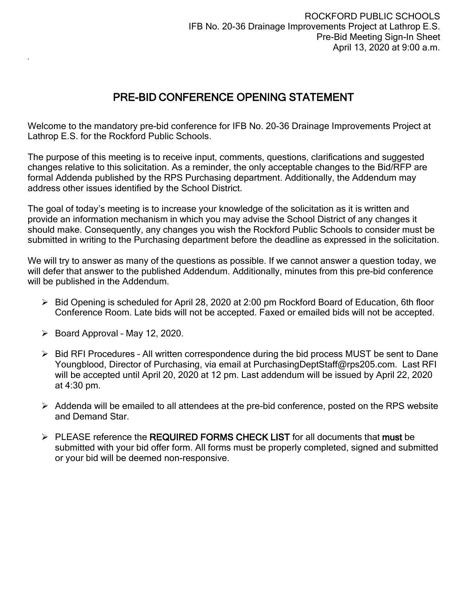# PRE-BID CONFERENCE OPENING STATEMENT

Welcome to the mandatory pre-bid conference for IFB No. 20-36 Drainage Improvements Project at Lathrop E.S. for the Rockford Public Schools.

The purpose of this meeting is to receive input, comments, questions, clarifications and suggested changes relative to this solicitation. As a reminder, the only acceptable changes to the Bid/RFP are formal Addenda published by the RPS Purchasing department. Additionally, the Addendum may address other issues identified by the School District.

The goal of today's meeting is to increase your knowledge of the solicitation as it is written and provide an information mechanism in which you may advise the School District of any changes it should make. Consequently, any changes you wish the Rockford Public Schools to consider must be submitted in writing to the Purchasing department before the deadline as expressed in the solicitation.

We will try to answer as many of the questions as possible. If we cannot answer a question today, we will defer that answer to the published Addendum. Additionally, minutes from this pre-bid conference will be published in the Addendum.

- $\triangleright$  Bid Opening is scheduled for April 28, 2020 at 2:00 pm Rockford Board of Education, 6th floor Conference Room. Late bids will not be accepted. Faxed or emailed bids will not be accepted.
- $\triangleright$  Board Approval May 12, 2020.

.

- $\triangleright$  Bid RFI Procedures All written correspondence during the bid process MUST be sent to Dane Youngblood, Director of Purchasing, via email at PurchasingDeptStaff@rps205.com. Last RFI will be accepted until April 20, 2020 at 12 pm. Last addendum will be issued by April 22, 2020 at 4:30 pm.
- $\triangleright$  Addenda will be emailed to all attendees at the pre-bid conference, posted on the RPS website and Demand Star.
- > PLEASE reference the REQUIRED FORMS CHECK LIST for all documents that must be submitted with your bid offer form. All forms must be properly completed, signed and submitted or your bid will be deemed non-responsive.